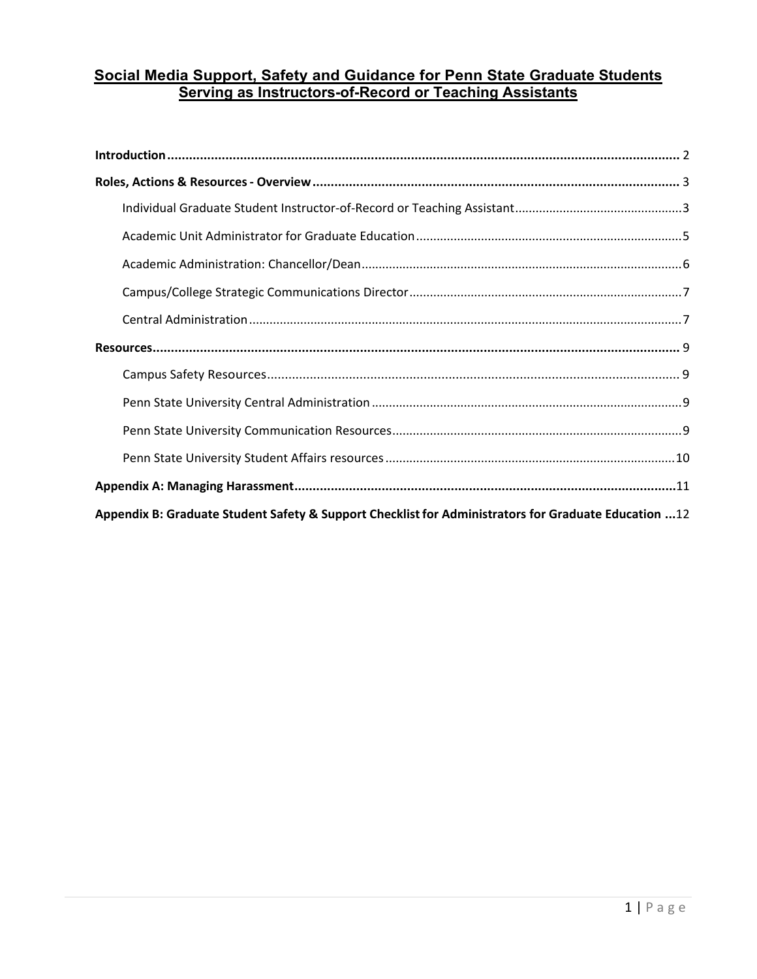# **Social Media Support, Safety and Guidance for Penn State Graduate Students Serving as Instructors-of-Record or Teaching Assistants**

| 12 Appendix B: Graduate Student Safety & Support Checklist for Administrators for Graduate Education 12 |  |  |  |
|---------------------------------------------------------------------------------------------------------|--|--|--|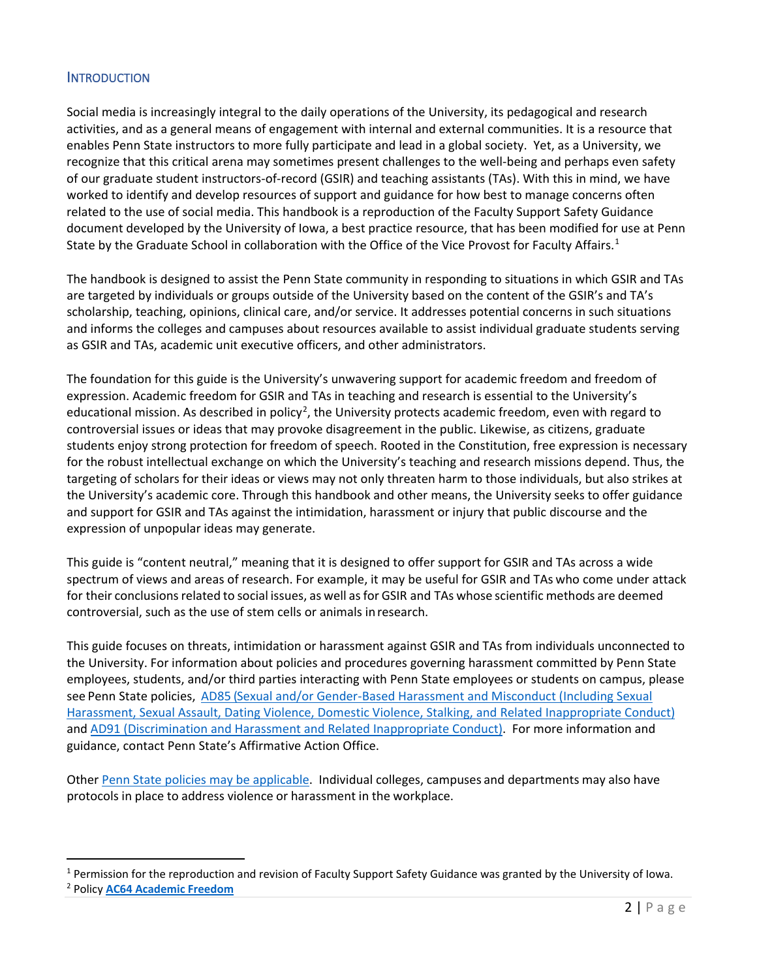# **INTRODUCTION**

 activities, and as a general means of engagement with internal and external communities. It is a resource that enables Penn State instructors to more fully participate and lead in a global society. Yet, as a University, we of our graduate student instructors-of-record (GSIR) and teaching assistants (TAs). With this in mind, we have worked to identify and develop resources of support and guidance for how best to manage concerns often related to the use of social media. This handbook is a reproduction of the Faculty Support Safety Guidance document developed by the University of Iowa, a best practice resource, that has been modified for use at Penn State by the Graduate School in collaboration with the Office of the Vice Provost for Faculty Affairs.<sup>[1](#page-1-0)</sup> Social media is increasingly integral to the daily operations of the University, its pedagogical and research recognize that this critical arena may sometimes present challenges to the well-being and perhaps even safety

 The handbook is designed to assist the Penn State community in responding to situations in which GSIR and TAs are targeted by individuals or groups outside of the University based on the content of the GSIR's and TA's and informs the colleges and campuses about resources available to assist individual graduate students serving scholarship, teaching, opinions, clinical care, and/or service. It addresses potential concerns in such situations as GSIR and TAs, academic unit executive officers, and other administrators.

 The foundation for this guide is the University's unwavering support for academic freedom and freedom of for the robust intellectual exchange on which the University's teaching and research missions depend. Thus, the targeting of scholars for their ideas or views may not only threaten harm to those individuals, but also strikes at and support for GSIR and TAs against the intimidation, harassment or injury that public discourse and the expression. Academic freedom for GSIR and TAs in teaching and research is essential to the University's educational mission. As described in policy<sup>[2](#page-1-1)</sup>, the University protects academic freedom, even with regard to controversial issues or ideas that may provoke disagreement in the public. Likewise, as citizens, graduate students enjoy strong protection for freedom of speech. Rooted in the Constitution, free expression is necessary the University's academic core. Through this handbook and other means, the University seeks to offer guidance expression of unpopular ideas may generate.

 This guide is "content neutral," meaning that it is designed to offer support for GSIR and TAs across a wide spectrum of views and areas of research. For example, it may be useful for GSIR and TAs who come under attack for their conclusions related to social issues, as well as for GSIR and TAs whose scientific methods are deemed controversial, such as the use of stem cells or animals in research.

 This guide focuses on threats, intimidation or harassment against GSIR and TAs from individuals unconnected to the University. For information about policies and procedures governing harassment committed by Penn State employees, students, and/or third parties interacting with Penn State employees or students on campus, please see Penn State policies, AD85 (Sexual and/or Gender-Based Harassment and Misconduct (Including Sexual [Harassment, Sexual Assault, Dating Violence, Domestic Violence, Stalking, and Related Inappropriate Conduct\)](https://policy.psu.edu/policies/ad85) and [AD91 \(Discrimination and Harassment and Related Inappropriate Conduct\).](https://policy.psu.edu/policies/ad91) For more information and guidance, contact Penn State's Affirmative Action Office.

Other [Penn State policies may be applicable.](https://policy.psu.edu/) Individual colleges, campuses and departments may also have protocols in place to address violence or harassment in the workplace.

<span id="page-1-0"></span> $1$  Permission for the reproduction and revision of Faculty Support Safety Guidance was granted by the University of Iowa.

<span id="page-1-1"></span><sup>2</sup> Policy **[AC64 Academic Freedom](https://policy.psu.edu/policies/ac64)**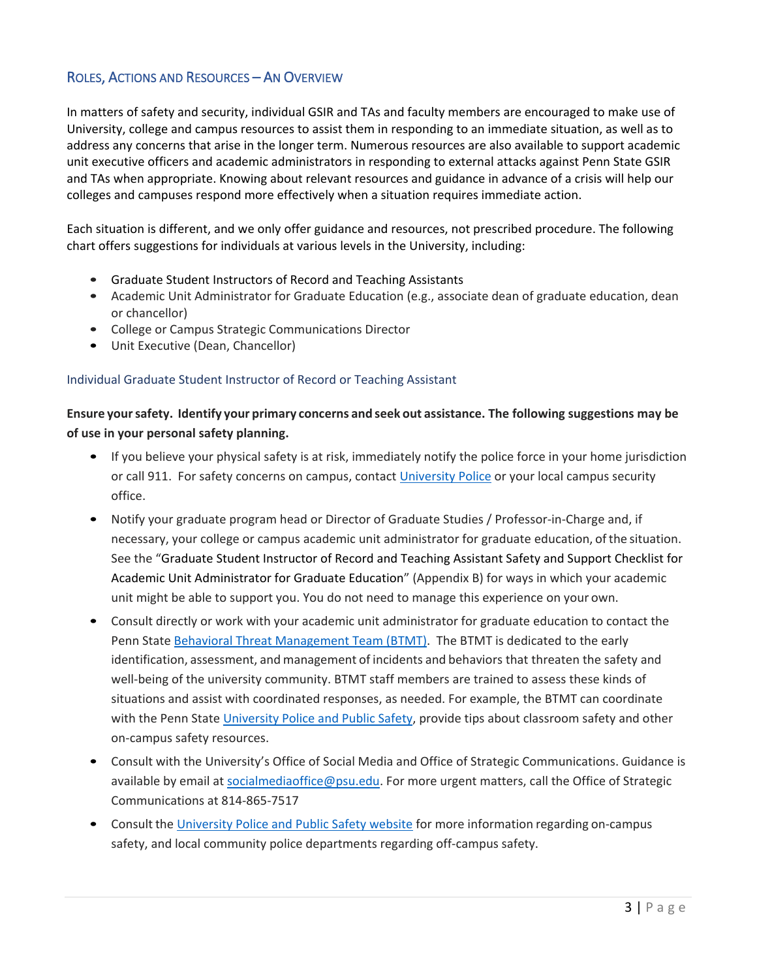# ROLES, ACTIONS AND RESOURCES – AN OVERVIEW

 In matters of safety and security, individual GSIR and TAs and faculty members are encouraged to make use of address any concerns that arise in the longer term. Numerous resources are also available to support academic University, college and campus resources to assist them in responding to an immediate situation, as well as to unit executive officers and academic administrators in responding to external attacks against Penn State GSIR and TAs when appropriate. Knowing about relevant resources and guidance in advance of a crisis will help our colleges and campuses respond more effectively when a situation requires immediate action.

Each situation is different, and we only offer guidance and resources, not prescribed procedure. The following chart offers suggestions for individuals at various levels in the University, including:

- Graduate Student Instructors of Record and Teaching Assistants
- • Academic Unit Administrator for Graduate Education (e.g., associate dean of graduate education, dean or chancellor)
- College or Campus Strategic Communications Director
- Unit Executive (Dean, Chancellor)

## Individual Graduate Student Instructor of Record or Teaching Assistant

 **Ensure your safety. Identify your primary concerns and seek out assistance. The following suggestions may be of use in your personal safety planning.** 

- If you believe your physical safety is at risk, immediately notify the police force in your home jurisdiction or call 911. For safety concerns on campus, contact [University Police](https://www.police.psu.edu/) or your local campus security office.
- necessary, your college or campus academic unit administrator for graduate educatio[n, o](https://hr.uiowa.edu/administrative-services/senior-hr-leadership-council-members)f the situation. unit might be able to support you. You do not need to manage this experience on your own. • Notify your graduate program head or Director of Graduate Studies / Professor-in-Charge and, if See the "Graduate Student Instructor of Record and Teaching Assistant Safety and Support Checklist for Academic Unit Administrator for Graduate Education" (Appendix B) for ways in which your academic
- Penn State **Behavioral Threat Management Team (BTMT)**. The BTMT is dedicated to the early identification, assessment, and management of incidents and behaviors that threaten the safety and well-being of the university community. BTMT staff members are trained to assess these kinds of • Consult directly or work with your academic unit administrator for graduate education to contact the situations and assist with coordinated responses, as needed. For example, the BTMT can coordinate with the Penn Stat[e University Police and Public Safety,](https://police.psu.edu/) provide tips about classroom safety and other on-campus safety resources.
- available by email at socialmediaoffice@psu.edu</u>. For more urgent matters, call the Office of Strategic • Consult with the University's Office of Social Media and Office of Strategic Communications. Guidance is Communications at 814-865-7517
- Consult the [University Police and Public Safety website](https://police.psu.edu/) for more information regarding on-campus safety, and local community police departments regarding off-campus safety.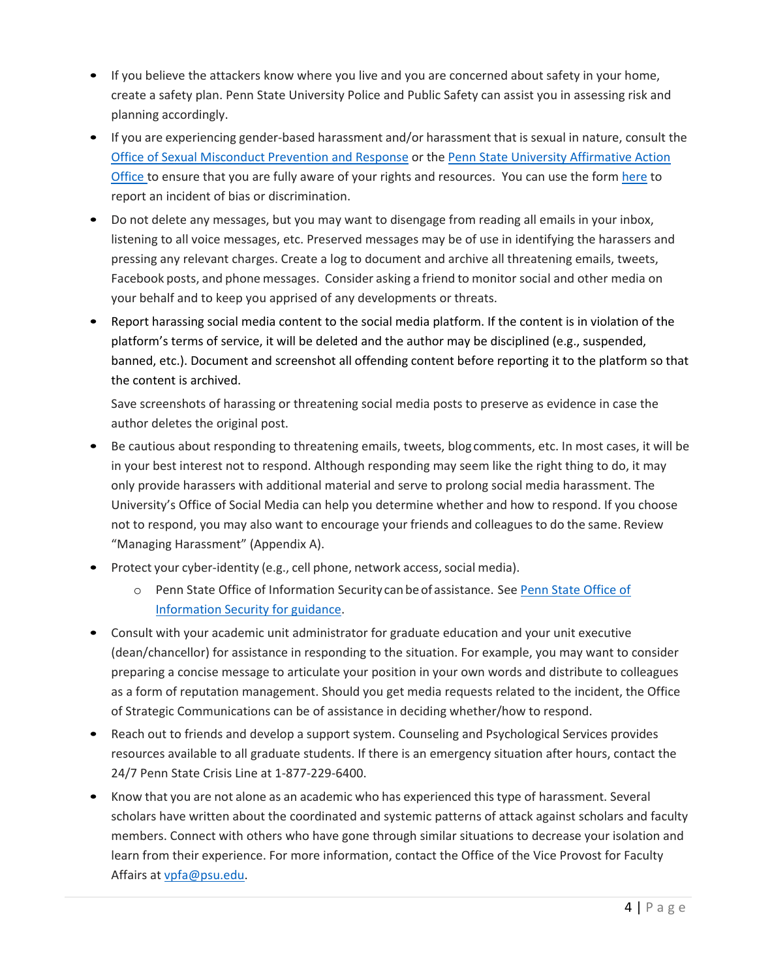- • If you believe the attackers know where you live and you are concerned about safety in your home, create a safety plan. Penn State University Police and Public Safety can assist you in assessing risk and planning accordingly.
- • If you are experiencing gender-based harassment and/or harassment that is sexual in nature, consult the [Office of Sexual Misconduct Prevention and Response](https://titleix.psu.edu/) or the Penn State University Affirmative Action [Office t](https://affirmativeaction.psu.edu/)o ensure that you are fully aware of your rights and resources. You can use the form [here](https://pennstate.qualtrics.com/jfe/form/SV_cMgjHLyVMsiK0BL) to report an incident of bias or discrimination.
- • Do not delete any messages, but you may want to disengage from reading all emails in your inbox, listening to all voice messages, etc. Preserved messages may be of use in identifying the harassers and pressing any relevant charges. Create a log to document and archive all threatening emails, tweets, Facebook posts, and phone messages. Consider asking a friend to monitor social and other media on your behalf and to keep you apprised of any developments or threats.
- banned, etc.). Document and screenshot all offending content before reporting it to the platform so that the content is archived. • Report harassing social media content to the social media platform. If the content is in violation of the platform's terms of service, it will be deleted and the author may be disciplined (e.g., suspended,

the content is archived.<br>Save screenshots of harassing or threatening social media posts to preserve as evidence in case the author deletes the original post.

- not to respond, you may also want to encourage your friends and colleagues to do the same. Review • Be cautious about responding to threatening emails, tweets, blog comments, etc. In most cases, it will be in your best interest not to respond. Although responding may seem like the right thing to do, it may only provide harassers with additional material and serve to prolong social media harassment. The University's Office of Social Media can help you determine whether and how to respond. If you choose "Managing Harassment" (Appendix A).
- • Protect your cyber-identity (e.g., cell phone, network access, social media).
	- o [Penn State Office of](https://security.psu.edu/) Information Security can be of assistance. See Penn State Office of [Information Security](https://security.psu.edu/) for guidance.
- • Consult with your academic unit administrator for graduate education and your unit executive (dean/chancellor) for assistance in responding to the situation. For example, you may want to consider preparing a concise message to articulate your position in your own words and distribute to colleagues as a form of reputation management. Should you get media requests related to the incident, the Office of Strategic Communications can be of assistance in deciding whether/how to respond.
- resources available to all graduate students. If there is an emergency situation after hours, contact the • Reach out to friends and develop a support system. Counseling and Psychological Services provides 24/7 Penn State Crisis Line at 1-877-229-6400.
- • Know that you are not alone as an academic who has experienced this type of harassment. Several scholars have written about the coordinated and systemic patterns of attack against scholars and faculty members. Connect with others who have gone through similar situations to decrease your isolation and learn from their experience. For more information, contact the Office of the Vice Provost for Faculty Affairs at [vpfa@psu.edu.](mailto:vpfa@psu.edu)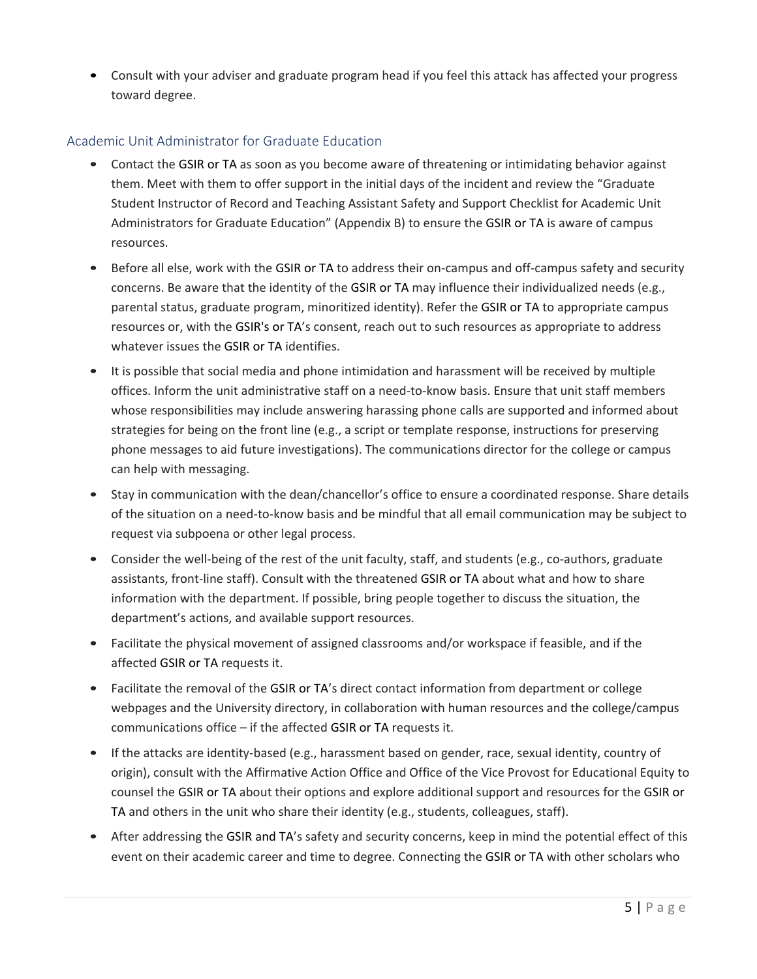• Consult with your adviser and graduate program head if you feel this attack has affected your progress toward degree.

## Academic Unit Administrator for Graduate Education

- • Contact the GSIR or TA as soon as you become aware of threatening or intimidating behavior against them. Meet with them to offer support in the initial days of the incident and review the "Graduate Student Instructor of Record and Teaching Assistant Safety and Support Checklist for Academic Unit Administrators for Graduate Education" (Appendix B) to ensure the GSIR or TA is aware of campus resources.
- • Before all else, work with the GSIR or TA to address their on-campus and off-campus safety and security concerns. Be aware that the identity of the GSIR or TA may influence their individualized needs (e.g., parental status, graduate program, minoritized identity). Refer the GSIR or TA to appropriate campus resources or, with the GSIR's or TA's consent, reach out to such resources as appropriate to address whatever issues the GSIR or TA identifies.
- • It is possible that social media and phone intimidation and harassment will be received by multiple offices. Inform the unit administrative staff on a need-to-know basis. Ensure that unit staff members whose responsibilities may include answering harassing phone calls are supported and informed about strategies for being on the front line (e.g., a script or template response, instructions for preserving phone messages to aid future investigations). The communications director for the college or campus can help with messaging.
- of the situation on a need-to-know basis and be mindful that all email communication may be subject to • Stay in communication with the dean/chancellor's office to ensure a coordinated response. Share details request via subpoena or other legal process.
- • Consider the well-being of the rest of the unit faculty, staff, and students (e.g., co-authors, graduate assistants, front-line staff). Consult with the threatened GSIR or TA about what and how to share information with the department. If possible, bring people together to discuss the situation, the department's actions, and available support resources.
- • Facilitate the physical movement of assigned classrooms and/or workspace if feasible, and if the affected GSIR or TA requests it.
- • Facilitate the removal of the GSIR or TA's direct contact information from department or college communications office – if the affected GSIR or TA requests it. webpages and the University directory, in collaboration with human resources and the college/campus
- origin), consult with the Affirmative Action Office and Office of the Vice Provost for Educational Equity to counsel the GSIR or TA about their options and explore additional support and resources for the GSIR or • If the attacks are identity-based (e.g., harassment based on gender, race, sexual identity, country of TA and others in the unit who share their identity (e.g., students, colleagues, staff).
- • After addressing the GSIR and TA's safety and security concerns, keep in mind the potential effect of this event on their academic career and time to degree. Connecting the GSIR or TA with other scholars who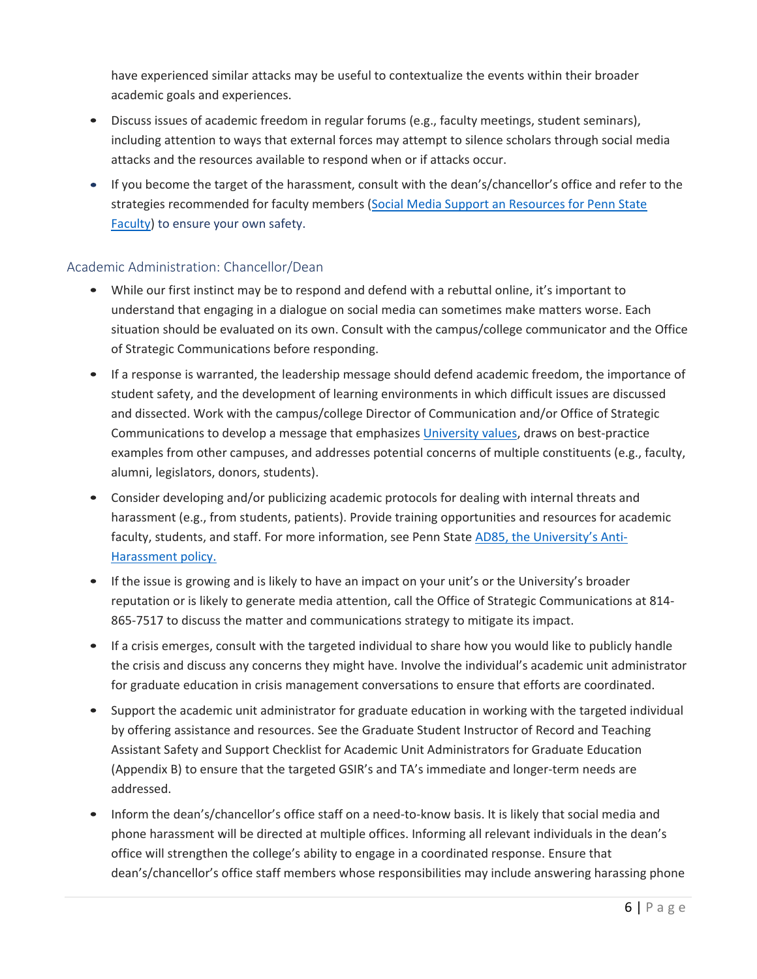have experienced similar attacks may be useful to contextualize the events within their broader academic goals and experiences.

- Discuss issues of academic freedom in regular forums (e.g., faculty meetings, student seminars), including attention to ways that external forces may attempt to silence scholars through social media attacks and the resources available to respond when or if attacks occur.
- If you become the target of the harassment, consult with the dean's/chancellor's office and refer to the strategies recommended for faculty members (Social Media Support an Resources for Penn State [Faculty\)](https://sites.psu.edu/academicaffairs/files/2020/09/Social-Media-Support-and-Resources-for-Penn-State-Faculty_09-17-20.pdf) to ensure your own safety.

# Academic Administration: Chancellor/Dean

- understand that engaging in a dialogue on social media can sometimes make matters worse. Each • While our first instinct may be to respond and defend with a rebuttal online, it's important to situation should be evaluated on its own. Consult with the campus/college communicator and the Office of Strategic Communications before responding.
- student safety, and the development of learning environments in which difficult issues are discussed • If a response is warranted, the leadership message should defend academic freedom, the importance of and dissected. Work with the campus/college Director of Communication and/or Office of Strategic Communications to develop a message that emphasizes [University values,](https://universityethics.psu.edu/penn-state-values) draws on best-practice examples from other campuses, and addresses potential concerns of multiple constituents (e.g., faculty, alumni, legislators, donors, students).
- • Consider developing and/or publicizing academic protocols for dealing with internal threats and harassment (e.g., from students, patients). Provide training opportunities and resources for academic faculty, students, and staff. For more information, see Penn Stat[e AD85, the University's Anti-](https://policy.psu.edu/policies/ad85)[Harassment policy.](https://policy.psu.edu/policies/ad85)
- reputation or is likely to generate media attention, call the Office of Strategic Communications at 814- 865-7517 to discuss the matter and communications strategy to mitigate its impact. • If the issue is growing and is likely to have an impact on your unit's or the University's broader
- • If a crisis emerges, consult with the targeted individual to share how you would like to publicly handle the crisis and discuss any concerns they might have. Involve the individual's academic unit administrator for graduate education in crisis management conversations to ensure that efforts are coordinated.
- • Support the academic unit administrator for graduate education in working with the targeted individual Assistant Safety and Support Checklist for Academic Unit Administrators for Graduate Education (Appendix B) to ensure that the targeted GSIR's and TA's immediate and longer-term needs are by offering assistance and resources. See the Graduate Student Instructor of Record and Teaching addressed.
- • Inform the dean's/chancellor's office staff on a need-to-know basis. It is likely that social media and phone harassment will be directed at multiple offices. Informing all relevant individuals in the dean's office will strengthen the college's ability to engage in a coordinated response. Ensure that dean's/chancellor's office staff members whose responsibilities may include answering harassing phone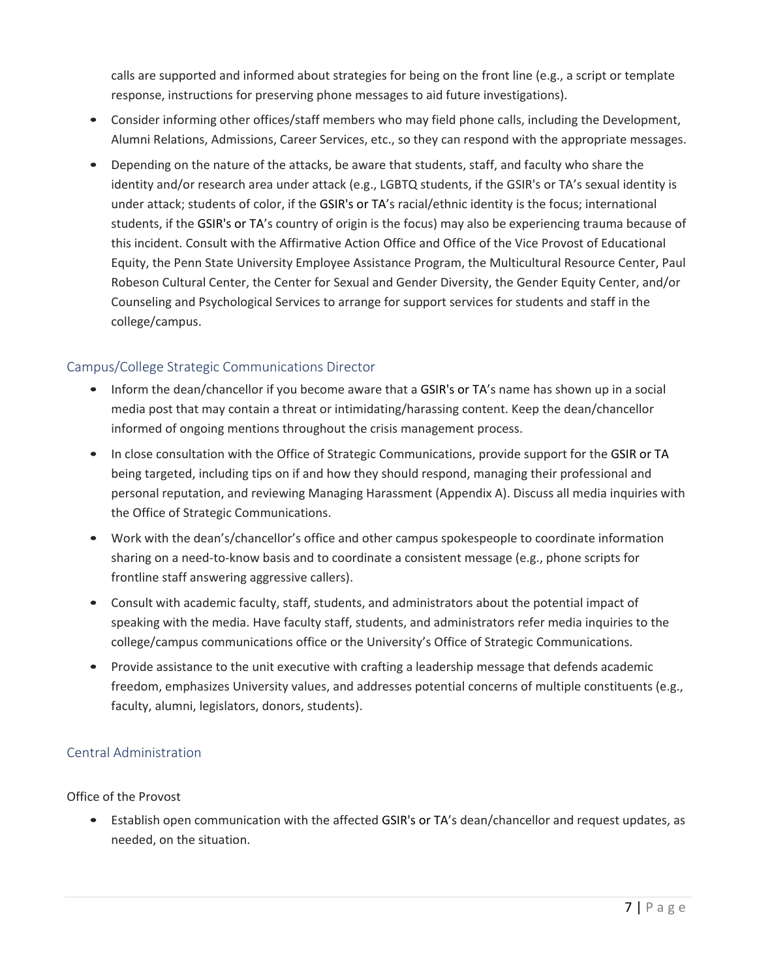calls are supported and informed about strategies for being on the front line (e.g., a script or template response, instructions for preserving phone messages to aid future investigations).

- Alumni Relations, Admissions, Career Services, etc., so they can respond with the appropriate messages. • Consider informing other offices/staff members who may field phone calls, including the Development,
- identity and/or research area under attack (e.g., LGBTQ students, if the GSIR's or TA's sexual identity is students, if the GSIR's or TA's country of origin is the focus) may also be experiencing trauma because of • Depending on the nature of the attacks, be aware that students, staff, and faculty who share the under attack; students of color, if the GSIR's or TA's racial/ethnic identity is the focus; international this incident. Consult with the Affirmative Action Office and Office of the Vice Provost of Educational Equity, the Penn State University Employee Assistance Program, the Multicultural Resource Center, Paul Robeson Cultural Center, the Center for Sexual and Gender Diversity, the Gender Equity Center, and/or Counseling and Psychological Services to arrange for support services for students and staff in the college/campus.

# Campus/College Strategic Communications Director

- • Inform the dean/chancellor if you become aware that a GSIR's or TA's name has shown up in a social informed of ongoing mentions throughout the crisis management process. media post that may contain a threat or intimidating/harassing content. Keep the dean/chancellor
- • In close consultation with the Office of Strategic Communications, provide support for the GSIR or TA being targeted, including tips on if and how they should respond, managing their professional and the Office of Strategic Communications. personal reputation, and reviewing Managing Harassment (Appendix A). Discuss all media inquiries with
- Work with the dean's/chancellor's office and other campus spokespeople to coordinate information sharing on a need-to-know basis and to coordinate a consistent message (e.g., phone scripts for frontline staff answering aggressive callers).
- • Consult with academic faculty, staff, students, and administrators about the potential impact of speaking with the media. Have faculty staff, students, and administrators refer media inquiries to the college/campus communications office or the University's Office of Strategic Communications.
- • Provide assistance to the unit executive with crafting a leadership message that defends academic freedom, emphasizes University values, and addresses potential concerns of multiple constituents (e.g., faculty, alumni, legislators, donors, students).

# Central Administration

# Office of the Provost

 • Establish open communication with the affected GSIR's or TA's dean/chancellor and request updates, as needed, on the situation.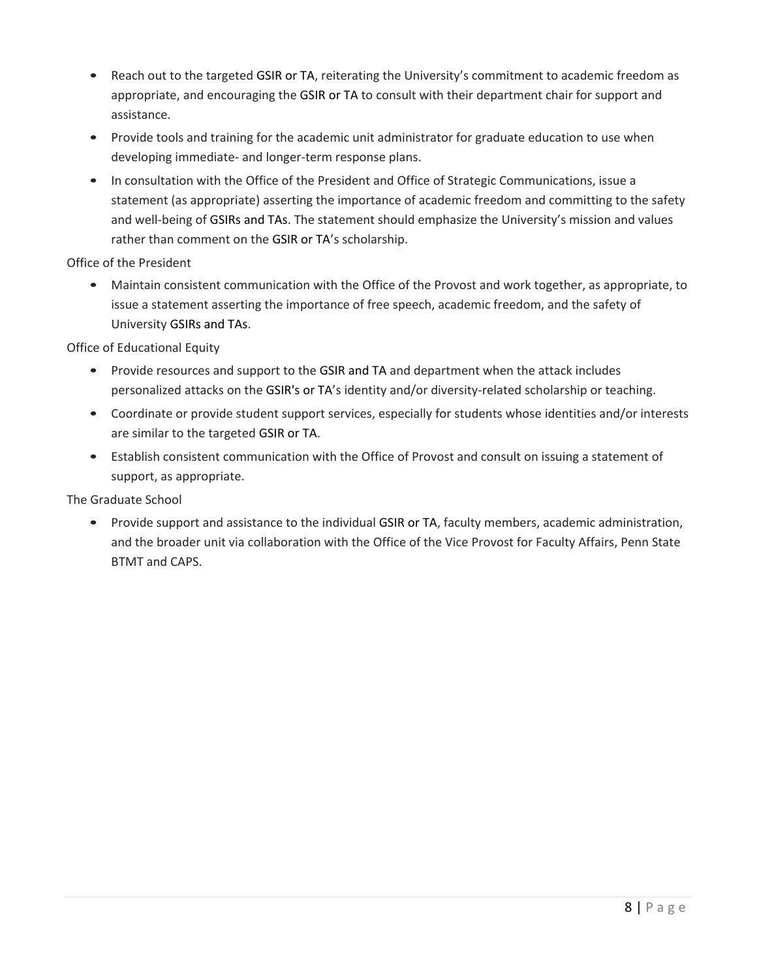- • Reach out to the targeted GSIR or TA, reiterating the University's commitment to academic freedom as appropriate, and encouraging the GSIR or TA to consult with their department chair for support and assistance.
- • Provide tools and training for the academic unit administrator for graduate education to use when developing immediate- and longer-term response plans.
- rather than comment on the GSIR or TA's scholarship. • In consultation with the Office of the President and Office of Strategic Communications, issue a statement (as appropriate) asserting the importance of academic freedom and committing to the safety and well-being of GSIRs and TAs. The statement should emphasize the University's mission and values

Office of the President

 University GSIRs and TAs. • Maintain consistent communication with the Office of the Provost and work together, as appropriate, to issue a statement asserting the importance of free speech, academic freedom, and the safety of

Office of Educational Equity

- personalized attacks on the GSIR's or TA's identity and/or diversity-related scholarship or teaching. • Provide resources and support to the GSIR and TA and department when the attack includes
- are similar to the targeted GSIR or TA. • Coordinate or provide student support services, especially for students whose identities and/or interests
- • Establish consistent communication with the Office of Provost and consult on issuing a statement of support, as appropriate.

The Graduate School

 • Provide support and assistance to the individual GSIR or TA, faculty members, academic administration, and the broader unit via collaboration with the Office of the Vice Provost for Faculty Affairs, Penn State BTMT and CAPS.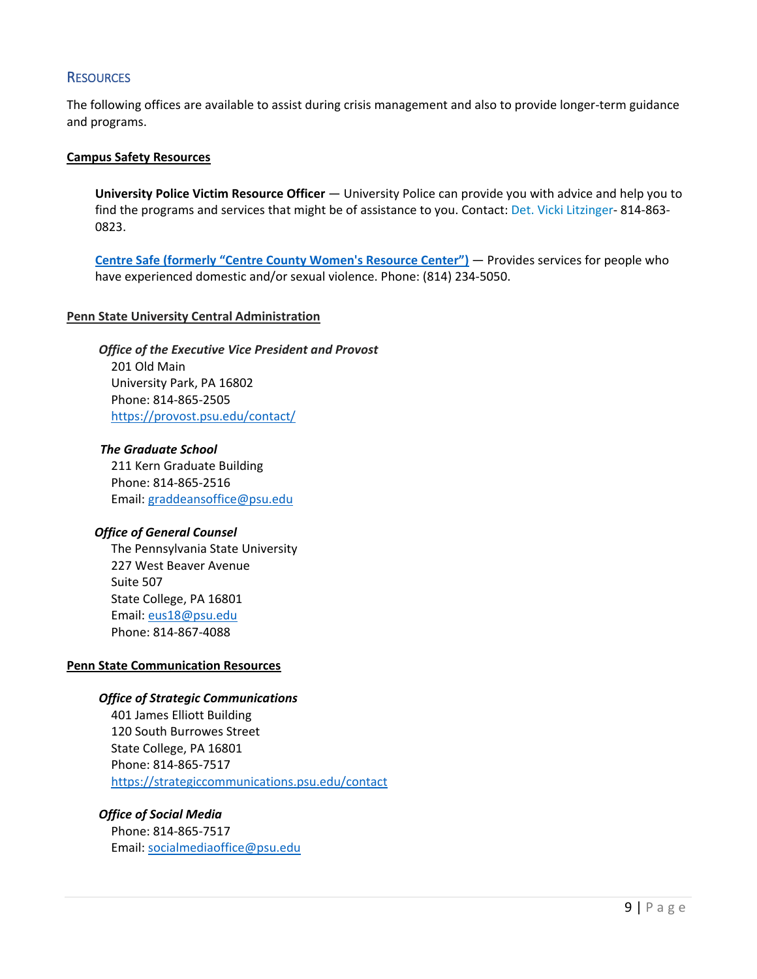## **RESOURCES**

The following offices are available to assist during crisis management and also to provide longer-term guidance and programs.

### **[Campus Safety Resources](https://police.psu.edu/campus-safety-resources)**

University Police Victim Resource Officer — University Police can provide you with advice and help you to find the programs and services that might be of assistance to you. Contact[: Det. Vicki Litzinger-](mailto:vja104@psu.edu) 814-863- 0823.

 **[Centre Safe \(formerly "Centre County Women's Resource Center"\)](http://www.ccwrc.org/)** — Provides services for people who have experienced domestic and/or sexual violence. Phone: (814) 234-5050.

### **Penn State University Central Administration**

*Office of the Executive Vice President and Provost*  201 Old Main University Park, PA 16802 Phone: 814-865-2505 <https://provost.psu.edu/contact/>

 Email: [graddeansoffice@psu.edu](mailto:graddeansoffice@psu.edu) *The Graduate School*  211 Kern Graduate Building Phone: 814-865-2516

#### *Office of General Counsel*

Email: eus18@psu.edu The Pennsylvania State University 227 West Beaver Avenue Suite 507 State College, PA 16801 Phone: 814-867-4088

#### **Penn State Communication Resources**

#### *Office of Strategic Communications*

401 James Elliott Building 120 South Burrowes Street State College, PA 16801 Phone: 814-865-7517 <https://strategiccommunications.psu.edu/contact>

# *Office of Social Media*

Phone: 814-865-7517 Email: [socialmediaoffice@psu.edu](mailto:socialmediaoffice@psu.edu)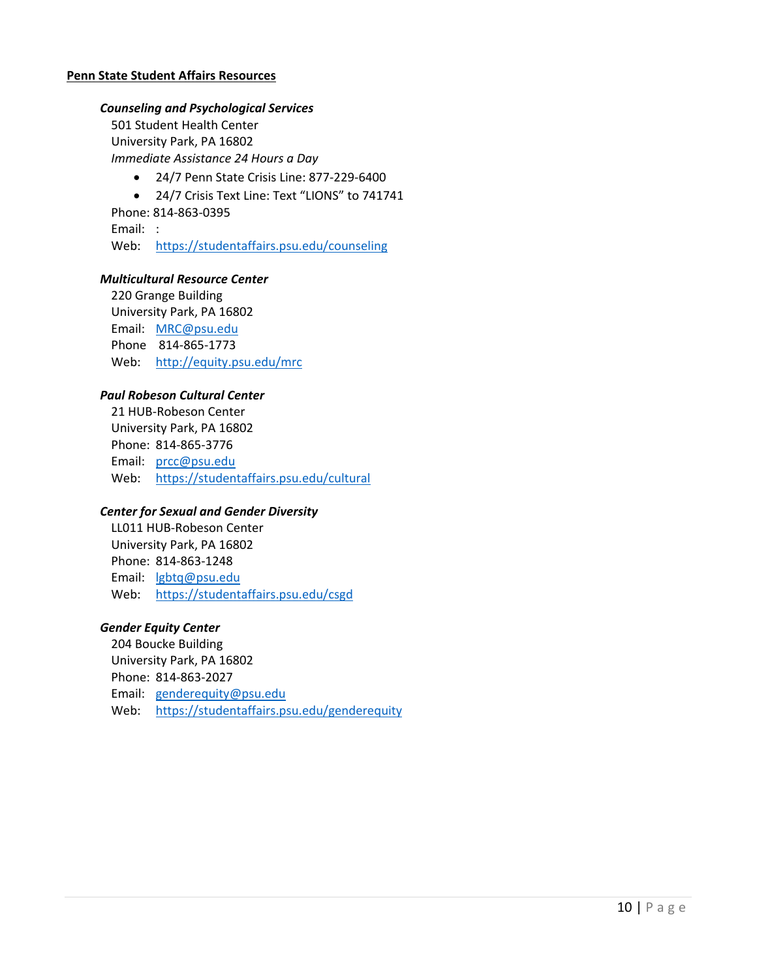### **Penn State Student Affairs Resources**

## *Counseling and Psychological Services*

501 Student Health Center University Park, PA 16802 *Immediate Assistance 24 Hours a Day* 

- 24/7 Penn State Crisis Line: 877-229-6400
- 24/7 Crisis Text Line: Text "LIONS" to 741741

Phone: 814-863-0395

Email: :

Web: https://studentaffairs.psu.edu/counseling

### *Multicultural Resource Center*

Email: MRC@psu.edu Phone 814-865-1773 Web: <u>http://equity.psu.edu/mrc</u> 220 Grange Building University Park, PA 16802

### *Paul Robeson Cultural Center*

Web: https://studentaffairs.psu.edu/cultural 21 HUB-Robeson Center University Park, PA 16802 Phone: 814-865-3776 Email: [prcc@psu.edu](mailto:prcc@psu.edu) 

#### *Center for Sexual and Gender Diversity*

LL011 HUB-Robeson Center University Park, PA 16802 Phone: 814-863-1248 Email: [lgbtq@psu.edu](mailto:lgbtq@psu.edu)  Web: <https://studentaffairs.psu.edu/csgd>

### *Gender Equity Center*

Web: https://studentaffairs.psu.edu/genderequity 204 Boucke Building University Park, PA 16802 Phone: 814-863-2027 Email: [genderequity@psu.edu](mailto:genderequity@psu.edu)  Web:  $\frac{https://studentaffairs.psu.edu/genderequity}{10 | P a g e}$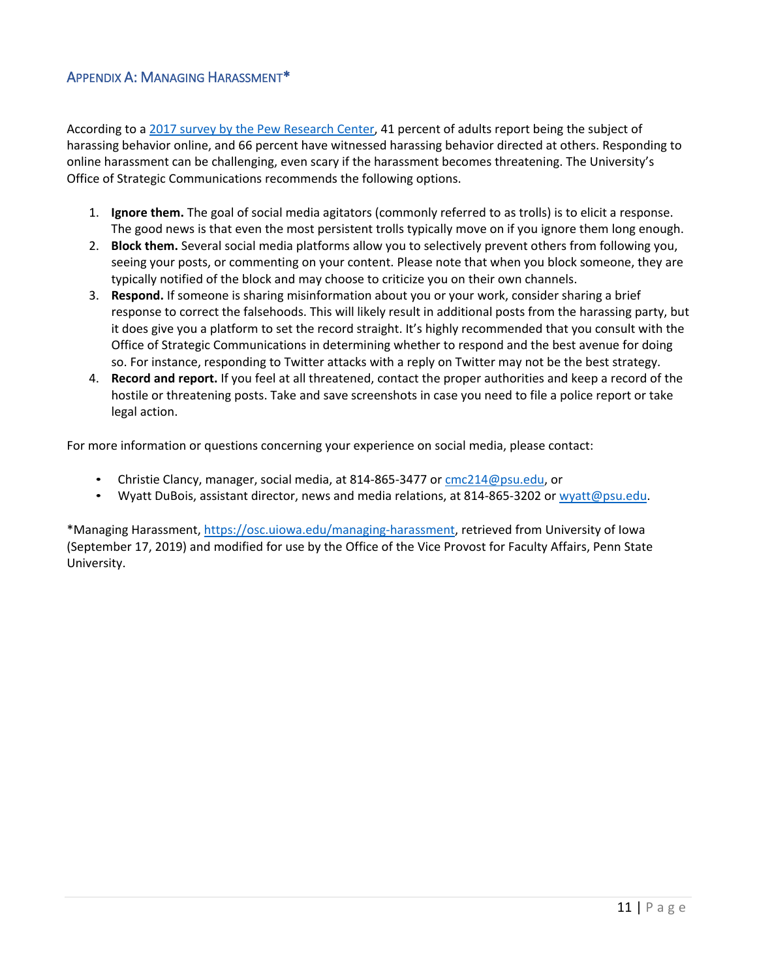# APPENDIX A: MANAGING HARASSMENT\*

 online harassment can be challenging, even scary if the harassment becomes threatening. The University's According to a [2017 survey by the Pew Research Center,](http://www.pewinternet.org/2017/07/11/online-harassment-2017/) 41 percent of adults report being the subject of harassing behavior online, and 66 percent have witnessed harassing behavior directed at others. Responding to Office of Strategic Communications recommends the following options.

- 1. **Ignore them.** The goal of social media agitators (commonly referred to as trolls) is to elicit a response. The good news is that even the most persistent trolls typically move on if you ignore them long enough.
- 2. **Block them.** Several social media platforms allow you to selectively prevent others from following you, seeing your posts, or commenting on your content. Please note that when you block someone, they are typically notified of the block and may choose to criticize you on their own channels.
- so. For instance, responding to Twitter attacks with a reply on Twitter may not be the best strategy. 3. **Respond.** If someone is sharing misinformation about you or your work, consider sharing a brief response to correct the falsehoods. This will likely result in additional posts from the harassing party, but it does give you a platform to set the record straight. It's highly recommended that you consult with the Office of Strategic Communications in determining whether to respond and the best avenue for doing
- 4. **Record and report.** If you feel at all threatened, contact the proper authorities and keep a record of the hostile or threatening posts. Take and save screenshots in case you need to file a police report or take legal action.

For more information or questions concerning your experience on social media, please contact:

- Christie Clancy, manager, social media, at 814-865-3477 or [cmc214@psu.edu,](mailto:cmc214@psu.edu) or
- Wyatt DuBois, assistant director, news and media relations, at 814-865-3202 o[r wyatt@psu.edu.](mailto:wyatt@psu.edu)

\*Managing Harassment, [https://osc.uiowa.edu/managing-harassment,](https://osc.uiowa.edu/managing-harassment) retrieved from University of Iowa (September 17, 2019) and modified for use by the Office of the Vice Provost for Faculty Affairs, Penn State University.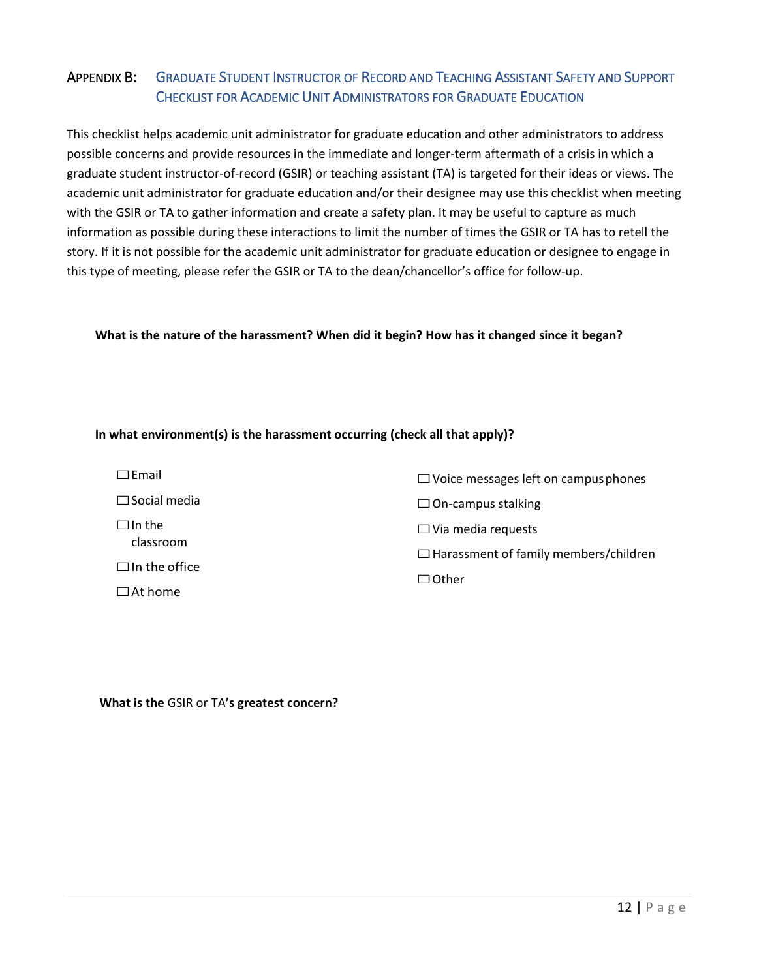# APPENDIX B: GRADUATE STUDENT INSTRUCTOR OF RECORD AND TEACHING ASSISTANT SAFETY AND SUPPORT CHECKLIST FOR ACADEMIC UNIT ADMINISTRATORS FOR GRADUATE EDUCATION

 This checklist helps academic unit administrator for graduate education and other administrators to address graduate student instructor-of-record (GSIR) or teaching assistant (TA) is targeted for their ideas or views. The academic unit administrator for graduate education and/or their designee may use this checklist when meeting information as possible during these interactions to limit the number of times the GSIR or TA has to retell the this type of meeting, please refer the GSIR or TA to the dean/chancellor's office for follow-up. possible concerns and provide resources in the immediate and longer-term aftermath of a crisis in which a with the GSIR or TA to gather information and create a safety plan. It may be useful to capture as much story. If it is not possible for the academic unit administrator for graduate education or designee to engage in

## **What is the nature of the harassment? When did it begin? How has it changed since it began?**

### **In what environment(s) is the harassment occurring (check all that apply)?**

| $\Box$ Email         | $\Box$ Voice messages left on campus phones  |
|----------------------|----------------------------------------------|
| $\Box$ Social media  | $\Box$ On-campus stalking                    |
| $\Box$ In the        | $\Box$ Via media requests                    |
| classroom            | $\Box$ Harassment of family members/children |
| $\Box$ In the office | $\Box$ Other                                 |
| $\Box$ At home       |                                              |

 **What is the** GSIR or TA**'s greatest concern?**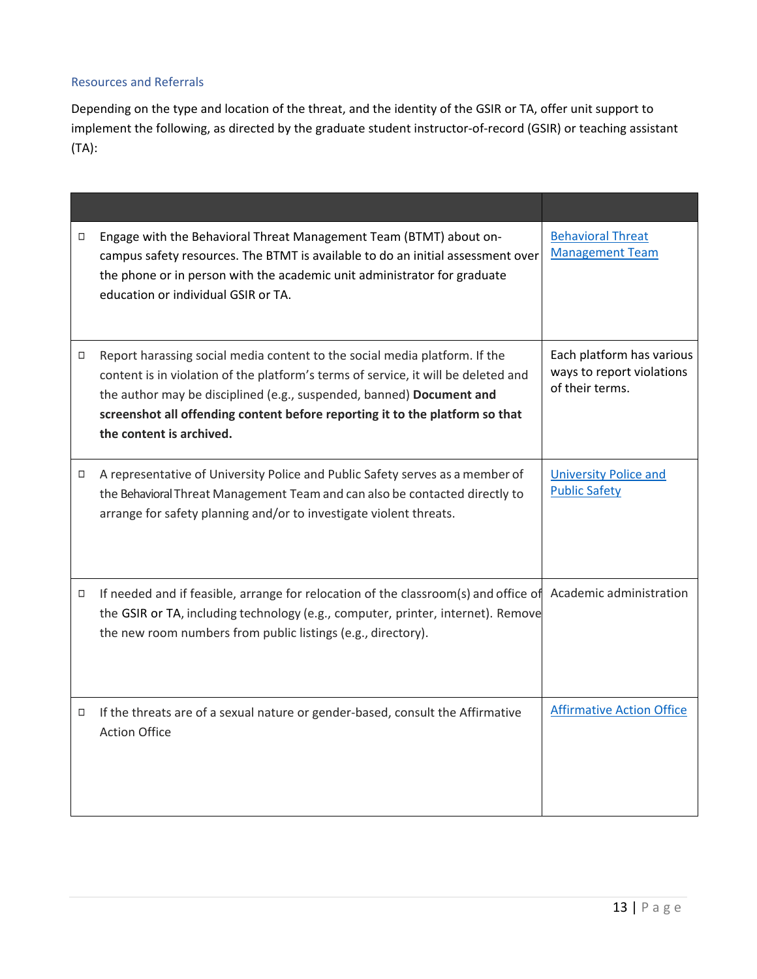## Resources and Referrals

 Depending on the type and location of the threat, and the identity of the GSIR or TA, offer unit support to implement the following, as directed by the graduate student instructor-of-record (GSIR) or teaching assistant (TA):

| □      | Engage with the Behavioral Threat Management Team (BTMT) about on-<br>campus safety resources. The BTMT is available to do an initial assessment over<br>the phone or in person with the academic unit administrator for graduate<br>education or individual GSIR or TA.                                                                             | <b>Behavioral Threat</b><br><b>Management Team</b>                        |
|--------|------------------------------------------------------------------------------------------------------------------------------------------------------------------------------------------------------------------------------------------------------------------------------------------------------------------------------------------------------|---------------------------------------------------------------------------|
| П      | Report harassing social media content to the social media platform. If the<br>content is in violation of the platform's terms of service, it will be deleted and<br>the author may be disciplined (e.g., suspended, banned) Document and<br>screenshot all offending content before reporting it to the platform so that<br>the content is archived. | Each platform has various<br>ways to report violations<br>of their terms. |
| 0      | A representative of University Police and Public Safety serves as a member of<br>the Behavioral Threat Management Team and can also be contacted directly to<br>arrange for safety planning and/or to investigate violent threats.                                                                                                                   | <b>University Police and</b><br><b>Public Safety</b>                      |
| $\Box$ | If needed and if feasible, arrange for relocation of the classroom(s) and office of Academic administration<br>the GSIR or TA, including technology (e.g., computer, printer, internet). Remove<br>the new room numbers from public listings (e.g., directory).                                                                                      |                                                                           |
| 0      | If the threats are of a sexual nature or gender-based, consult the Affirmative<br><b>Action Office</b>                                                                                                                                                                                                                                               | <b>Affirmative Action Office</b>                                          |